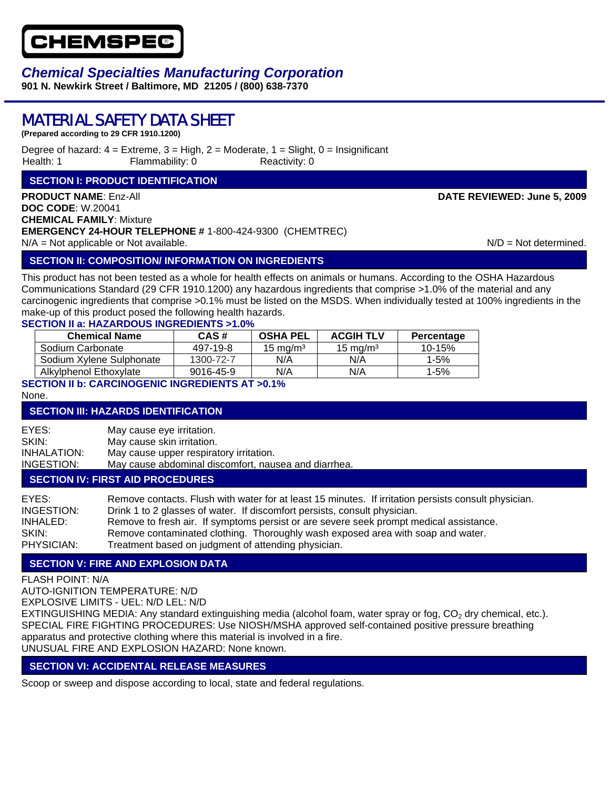

## *Chemical Specialties Manufacturing Corporation*

**901 N. Newkirk Street / Baltimore, MD 21205 / (800) 638-7370** 

# MATERIAL SAFETY DATA SHEET

**(Prepared according to 29 CFR 1910.1200)**

Degree of hazard:  $4 =$  Extreme,  $3 =$  High,  $2 =$  Moderate,  $1 =$  Slight,  $0 =$  Insignificant Health: 1 Flammability: 0 Reactivity: 0

## **SECTION I: PRODUCT IDENTIFICATION**

**PRODUCT NAME**: Enz-All **DATE REVIEWED: June 5, 2009 DOC CODE**: W.20041 **CHEMICAL FAMILY**: Mixture **EMERGENCY 24-HOUR TELEPHONE #** 1-800-424-9300 (CHEMTREC)  $N/A = Not$  applicable or Not available. N/D = Not determined.

## **SECTION II: COMPOSITION/ INFORMATION ON INGREDIENTS**

This product has not been tested as a whole for health effects on animals or humans. According to the OSHA Hazardous Communications Standard (29 CFR 1910.1200) any hazardous ingredients that comprise >1.0% of the material and any carcinogenic ingredients that comprise >0.1% must be listed on the MSDS. When individually tested at 100% ingredients in the make-up of this product posed the following health hazards.

### **SECTION II a: HAZARDOUS INGREDIENTS >1.0%**

| <b>Chemical Name</b>     | CAS#      | OSHA PEL            | <b>ACGIH TLV</b> | Percentage |
|--------------------------|-----------|---------------------|------------------|------------|
| Sodium Carbonate         | 497-19-8  | $15 \text{ ma/m}^3$ | 15 mg/m $^3$     | 10-15%     |
| Sodium Xylene Sulphonate | 1300-72-7 | N/A                 | N/A              | $1 - 5%$   |
| Alkylphenol Ethoxylate   | 9016-45-9 | N/A                 | N/A              | 1-5%       |

## **SECTION II b: CARCINOGENIC INGREDIENTS AT >0.1%**

None.

## **SECTION III: HAZARDS IDENTIFICATION**

EYES: May cause eye irritation. SKIN: May cause skin irritation. INHALATION: May cause upper respiratory irritation. INGESTION: May cause abdominal discomfort, nausea and diarrhea. **SECTION IV: FIRST AID PROCEDURES**

## EYES: Remove contacts. Flush with water for at least 15 minutes. If irritation persists consult physician. INGESTION: Drink 1 to 2 glasses of water. If discomfort persists, consult physician. INHALED: Remove to fresh air. If symptoms persist or are severe seek prompt medical assistance. SKIN: Remove contaminated clothing. Thoroughly wash exposed area with soap and water. PHYSICIAN: Treatment based on judgment of attending physician.

## **SECTION V: FIRE AND EXPLOSION DATA**

FLASH POINT: N/A

AUTO-IGNITION TEMPERATURE: N/D

EXPLOSIVE LIMITS - UEL: N/D LEL: N/D

EXTINGUISHING MEDIA: Any standard extinguishing media (alcohol foam, water spray or fog, CO<sub>2</sub> dry chemical, etc.). SPECIAL FIRE FIGHTING PROCEDURES: Use NIOSH/MSHA approved self-contained positive pressure breathing apparatus and protective clothing where this material is involved in a fire. UNUSUAL FIRE AND EXPLOSION HAZARD: None known.

## **SECTION VI: ACCIDENTAL RELEASE MEASURES**

Scoop or sweep and dispose according to local, state and federal regulations.